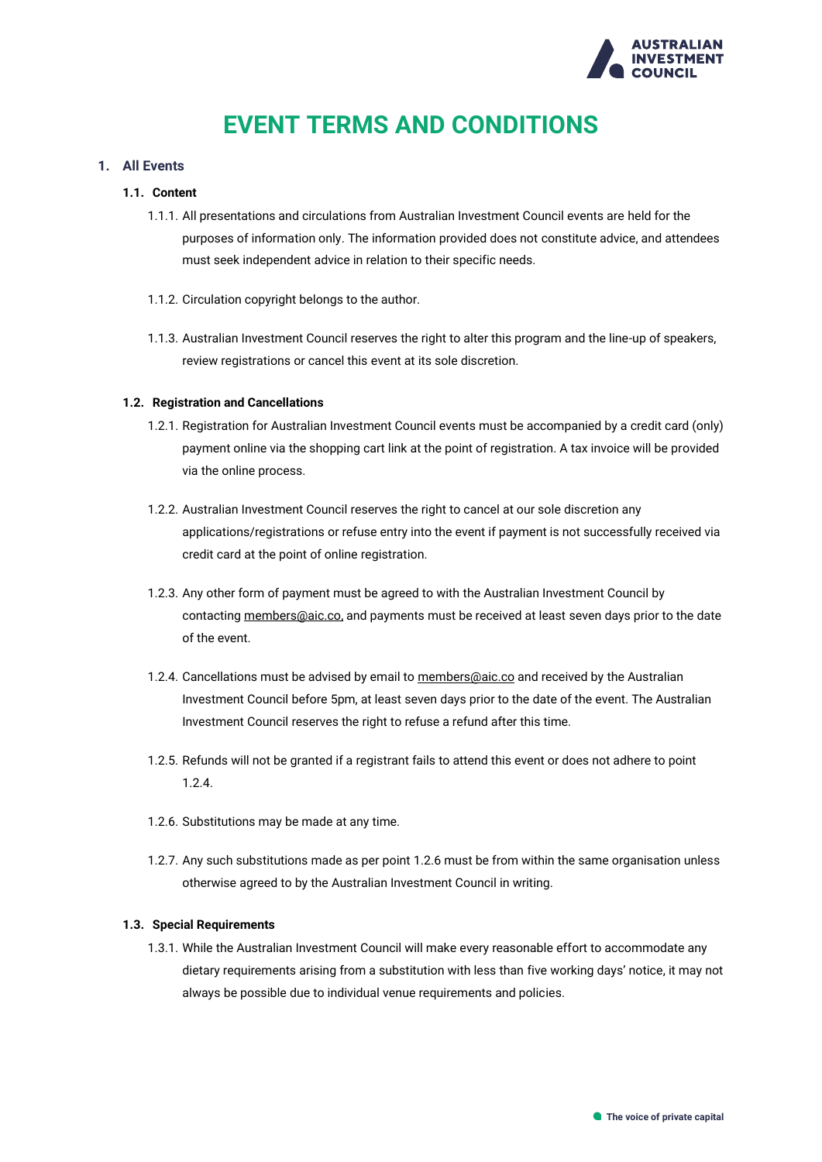

## **EVENT TERMS AND CONDITIONS**

### **1. All Events**

### **1.1. Content**

- 1.1.1. All presentations and circulations from Australian Investment Council events are held for the purposes of information only. The information provided does not constitute advice, and attendees must seek independent advice in relation to their specific needs.
- 1.1.2. Circulation copyright belongs to the author.
- 1.1.3. Australian Investment Council reserves the right to alter this program and the line-up of speakers, review registrations or cancel this event at its sole discretion.

#### **1.2. Registration and Cancellations**

- 1.2.1. Registration for Australian Investment Council events must be accompanied by a credit card (only) payment online via the shopping cart link at the point of registration. A tax invoice will be provided via the online process.
- 1.2.2. Australian Investment Council reserves the right to cancel at our sole discretion any applications/registrations or refuse entry into the event if payment is not successfully received via credit card at the point of online registration.
- 1.2.3. Any other form of payment must be agreed to with the Australian Investment Council by contacting [members@aic.co,](mailto:members@aic.co) and payments must be received at least seven days prior to the date of the event.
- 1.2.4. Cancellations must be advised by email t[o members@aic.co](mailto:members@aic.co) and received by the Australian Investment Council before 5pm, at least seven days prior to the date of the event. The Australian Investment Council reserves the right to refuse a refund after this time.
- 1.2.5. Refunds will not be granted if a registrant fails to attend this event or does not adhere to point 1.2.4.
- 1.2.6. Substitutions may be made at any time.
- 1.2.7. Any such substitutions made as per point 1.2.6 must be from within the same organisation unless otherwise agreed to by the Australian Investment Council in writing.

#### **1.3. Special Requirements**

1.3.1. While the Australian Investment Council will make every reasonable effort to accommodate any dietary requirements arising from a substitution with less than five working days' notice, it may not always be possible due to individual venue requirements and policies.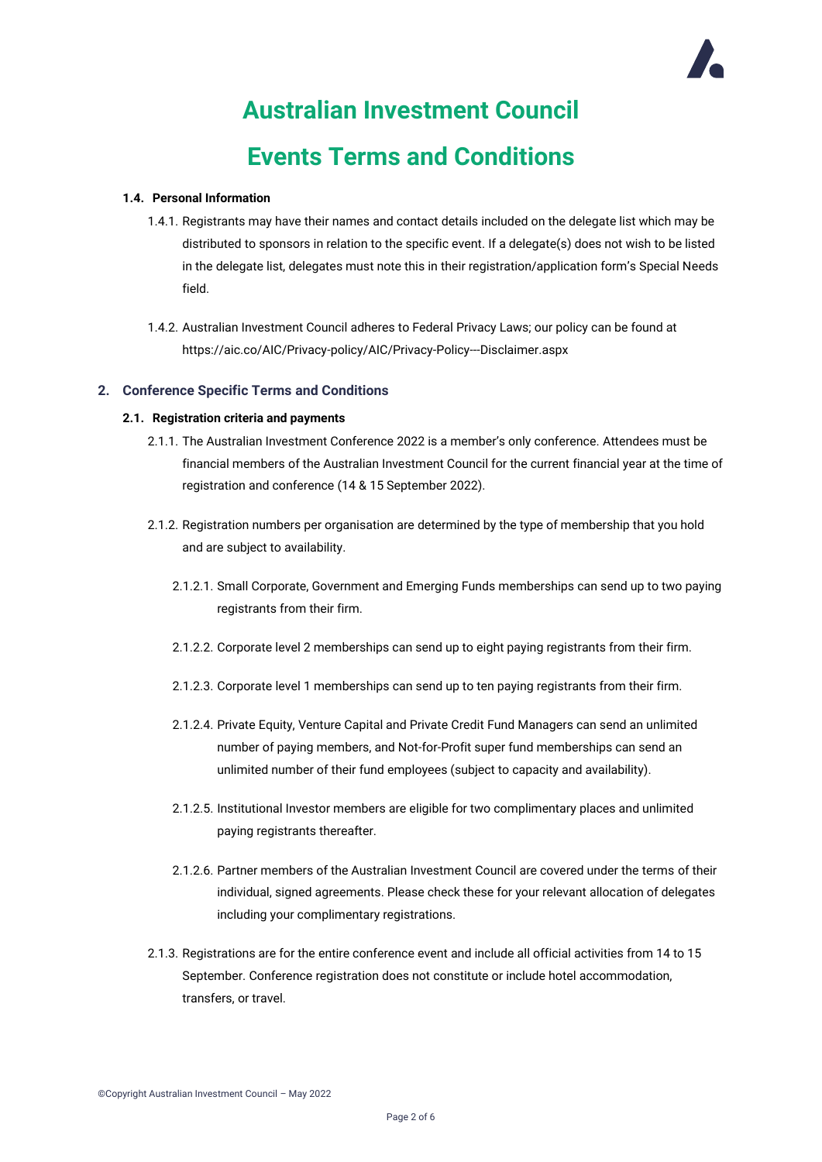## **Australian Investment Council Events Terms and Conditions**

### **1.4. Personal Information**

- 1.4.1. Registrants may have their names and contact details included on the delegate list which may be distributed to sponsors in relation to the specific event. If a delegate(s) does not wish to be listed in the delegate list, delegates must note this in their registration/application form's Special Needs field.
- 1.4.2. Australian Investment Council adheres to Federal Privacy Laws; our policy can be found at https://aic.co/AIC/Privacy-policy/AIC/Privacy-Policy---Disclaimer.aspx

### **2. Conference Specific Terms and Conditions**

### **2.1. Registration criteria and payments**

- 2.1.1. The Australian Investment Conference 2022 is a member's only conference. Attendees must be financial members of the Australian Investment Council for the current financial year at the time of registration and conference (14 & 15 September 2022).
- 2.1.2. Registration numbers per organisation are determined by the type of membership that you hold and are subject to availability.
	- 2.1.2.1. Small Corporate, Government and Emerging Funds memberships can send up to two paying registrants from their firm.
	- 2.1.2.2. Corporate level 2 memberships can send up to eight paying registrants from their firm.
	- 2.1.2.3. Corporate level 1 memberships can send up to ten paying registrants from their firm.
	- 2.1.2.4. Private Equity, Venture Capital and Private Credit Fund Managers can send an unlimited number of paying members, and Not-for-Profit super fund memberships can send an unlimited number of their fund employees (subject to capacity and availability).
	- 2.1.2.5. Institutional Investor members are eligible for two complimentary places and unlimited paying registrants thereafter.
	- 2.1.2.6. Partner members of the Australian Investment Council are covered under the terms of their individual, signed agreements. Please check these for your relevant allocation of delegates including your complimentary registrations.
- 2.1.3. Registrations are for the entire conference event and include all official activities from 14 to 15 September. Conference registration does not constitute or include hotel accommodation, transfers, or travel.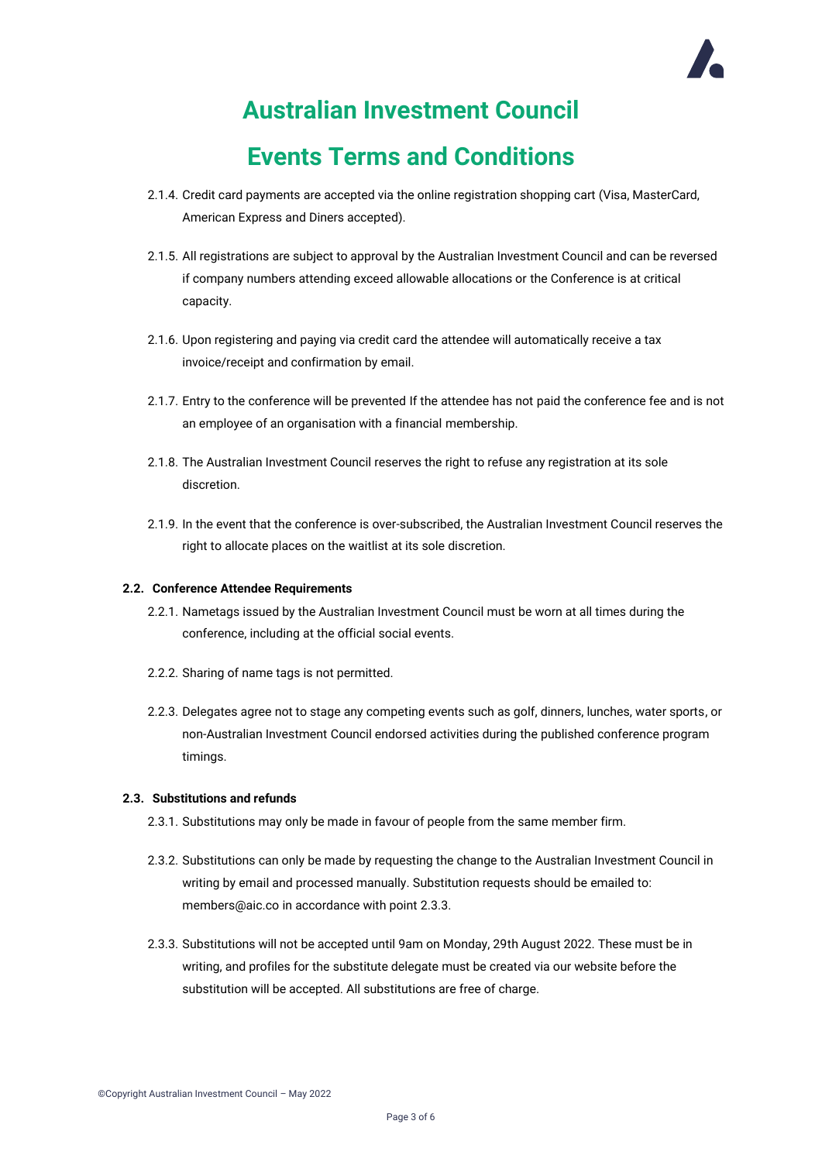## **Events Terms and Conditions**

- 2.1.4. Credit card payments are accepted via the online registration shopping cart (Visa, MasterCard, American Express and Diners accepted).
- 2.1.5. All registrations are subject to approval by the Australian Investment Council and can be reversed if company numbers attending exceed allowable allocations or the Conference is at critical capacity.
- 2.1.6. Upon registering and paying via credit card the attendee will automatically receive a tax invoice/receipt and confirmation by email.
- 2.1.7. Entry to the conference will be prevented If the attendee has not paid the conference fee and is not an employee of an organisation with a financial membership.
- 2.1.8. The Australian Investment Council reserves the right to refuse any registration at its sole discretion.
- 2.1.9. In the event that the conference is over-subscribed, the Australian Investment Council reserves the right to allocate places on the waitlist at its sole discretion.

### **2.2. Conference Attendee Requirements**

- 2.2.1. Nametags issued by the Australian Investment Council must be worn at all times during the conference, including at the official social events.
- 2.2.2. Sharing of name tags is not permitted.
- 2.2.3. Delegates agree not to stage any competing events such as golf, dinners, lunches, water sports, or non-Australian Investment Council endorsed activities during the published conference program timings.

#### **2.3. Substitutions and refunds**

- 2.3.1. Substitutions may only be made in favour of people from the same member firm.
- 2.3.2. Substitutions can only be made by requesting the change to the Australian Investment Council in writing by email and processed manually. Substitution requests should be emailed to: [members@aic.co](mailto:members@aic.co) in accordance with point 2.3.3.
- 2.3.3. Substitutions will not be accepted until 9am on Monday, 29th August 2022. These must be in writing, and profiles for the substitute delegate must be created via our website before the substitution will be accepted. All substitutions are free of charge.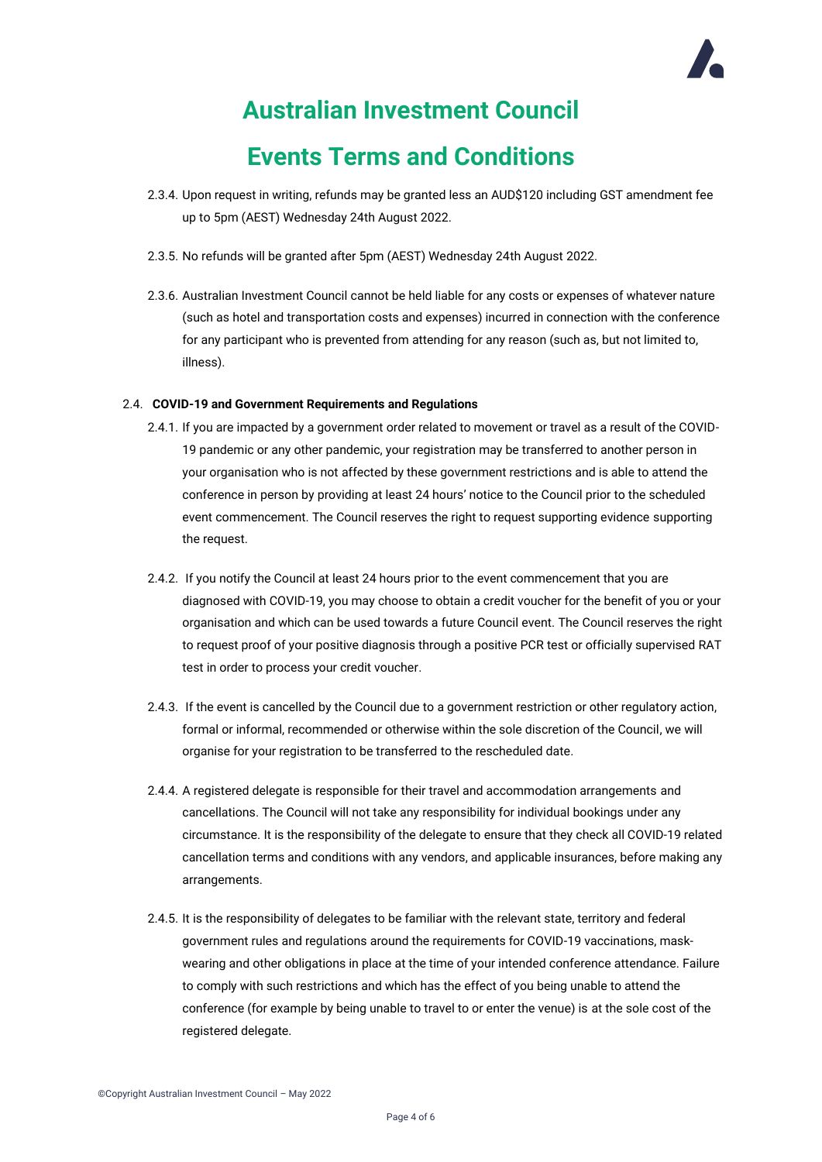## **Events Terms and Conditions**

- 2.3.4. Upon request in writing, refunds may be granted less an AUD\$120 including GST amendment fee up to 5pm (AEST) Wednesday 24th August 2022.
- 2.3.5. No refunds will be granted after 5pm (AEST) Wednesday 24th August 2022.
- 2.3.6. Australian Investment Council cannot be held liable for any costs or expenses of whatever nature (such as hotel and transportation costs and expenses) incurred in connection with the conference for any participant who is prevented from attending for any reason (such as, but not limited to, illness).

#### 2.4. **COVID-19 and Government Requirements and Regulations**

- 2.4.1. If you are impacted by a government order related to movement or travel as a result of the COVID-19 pandemic or any other pandemic, your registration may be transferred to another person in your organisation who is not affected by these government restrictions and is able to attend the conference in person by providing at least 24 hours' notice to the Council prior to the scheduled event commencement. The Council reserves the right to request supporting evidence supporting the request.
- 2.4.2. If you notify the Council at least 24 hours prior to the event commencement that you are diagnosed with COVID-19, you may choose to obtain a credit voucher for the benefit of you or your organisation and which can be used towards a future Council event. The Council reserves the right to request proof of your positive diagnosis through a positive PCR test or officially supervised RAT test in order to process your credit voucher.
- 2.4.3. If the event is cancelled by the Council due to a government restriction or other regulatory action, formal or informal, recommended or otherwise within the sole discretion of the Council, we will organise for your registration to be transferred to the rescheduled date.
- 2.4.4. A registered delegate is responsible for their travel and accommodation arrangements and cancellations. The Council will not take any responsibility for individual bookings under any circumstance. It is the responsibility of the delegate to ensure that they check all COVID-19 related cancellation terms and conditions with any vendors, and applicable insurances, before making any arrangements.
- 2.4.5. It is the responsibility of delegates to be familiar with the relevant state, territory and federal government rules and regulations around the requirements for COVID-19 vaccinations, maskwearing and other obligations in place at the time of your intended conference attendance. Failure to comply with such restrictions and which has the effect of you being unable to attend the conference (for example by being unable to travel to or enter the venue) is at the sole cost of the registered delegate.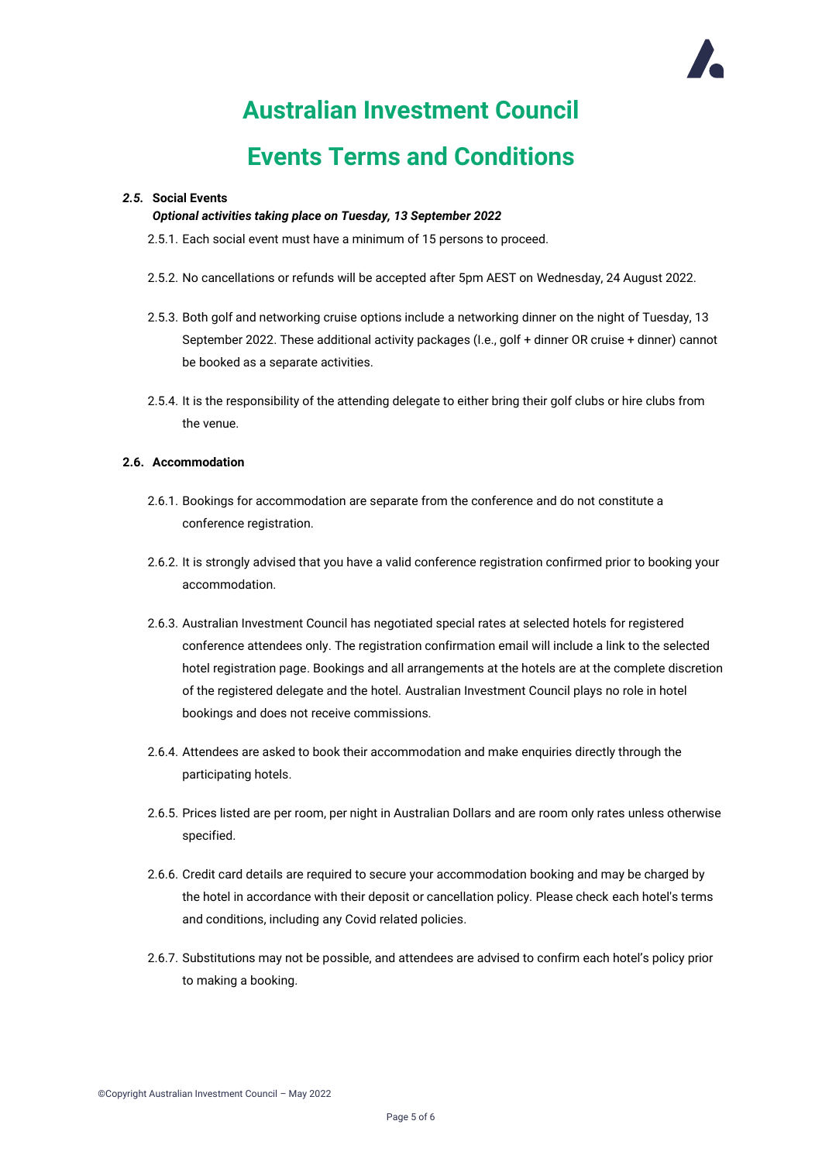## **Events Terms and Conditions**

### *2.5.* **Social Events**

### *Optional activities taking place on Tuesday, 13 September 2022*

- 2.5.1. Each social event must have a minimum of 15 persons to proceed.
- 2.5.2. No cancellations or refunds will be accepted after 5pm AEST on Wednesday, 24 August 2022.
- 2.5.3. Both golf and networking cruise options include a networking dinner on the night of Tuesday, 13 September 2022. These additional activity packages (I.e., golf + dinner OR cruise + dinner) cannot be booked as a separate activities.
- 2.5.4. It is the responsibility of the attending delegate to either bring their golf clubs or hire clubs from the venue.

### **2.6. Accommodation**

- 2.6.1. Bookings for accommodation are separate from the conference and do not constitute a conference registration.
- 2.6.2. It is strongly advised that you have a valid conference registration confirmed prior to booking your accommodation.
- 2.6.3. Australian Investment Council has negotiated special rates at selected hotels for registered conference attendees only. The registration confirmation email will include a link to the selected hotel registration page. Bookings and all arrangements at the hotels are at the complete discretion of the registered delegate and the hotel. Australian Investment Council plays no role in hotel bookings and does not receive commissions.
- 2.6.4. Attendees are asked to book their accommodation and make enquiries directly through the participating hotels.
- 2.6.5. Prices listed are per room, per night in Australian Dollars and are room only rates unless otherwise specified.
- 2.6.6. Credit card details are required to secure your accommodation booking and may be charged by the hotel in accordance with their deposit or cancellation policy. Please check each hotel's terms and conditions, including any Covid related policies.
- 2.6.7. Substitutions may not be possible, and attendees are advised to confirm each hotel's policy prior to making a booking.